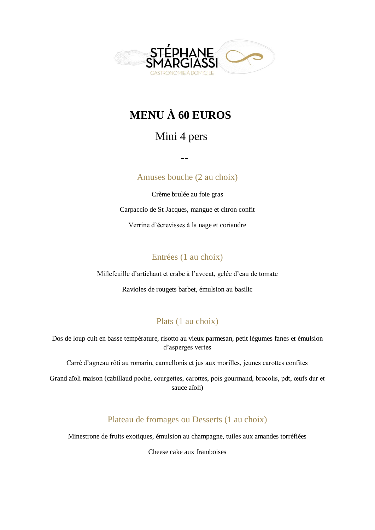

# **MENU À 60 EUROS**

### Mini 4 pers

 **--**

Amuses bouche (2 au choix)

Crème brulée au foie gras Carpaccio de St Jacques, mangue et citron confit Verrine d'écrevisses à la nage et coriandre

#### Entrées (1 au choix)

Millefeuille d'artichaut et crabe à l'avocat, gelée d'eau de tomate

Ravioles de rougets barbet, émulsion au basilic

### Plats (1 au choix)

Dos de loup cuit en basse température, risotto au vieux parmesan, petit légumes fanes et émulsion d'asperges vertes

Carré d'agneau rôti au romarin, cannellonis et jus aux morilles, jeunes carottes confites

Grand aïoli maison (cabillaud poché, courgettes, carottes, pois gourmand, brocolis, pdt, œufs dur et sauce aïoli)

Plateau de fromages ou Desserts (1 au choix)

Minestrone de fruits exotiques, émulsion au champagne, tuiles aux amandes torréfiées

Cheese cake aux framboises